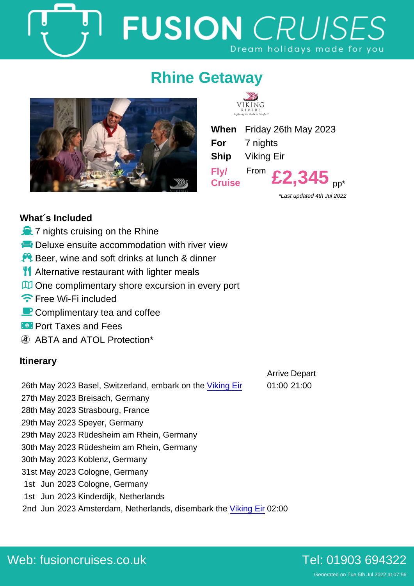## Rhine Getaway

When Friday 26th May 2023 For 7 nights Ship Viking Eir Fly/ **Cruise** From  $£2,345$ <sub>pp</sub>\*

\*Last updated 4th Jul 2022

## What´s Included

- $\dot{o}$  7 nights cruising on the Rhine
- ô¸ Deluxe ensuite accommodation with river view
- $\div$  Beer, wine and soft drinks at lunch & dinner
- **oc** Alternative restaurant with lighter meals
- òy One complimentary shore excursion in every port
- ñë Free Wi-Fi included
- ðô Complimentary tea and coffee
- óÑ Port Taxes and Fees

ABTA and ATOL Protection\*

## **Itinerary**

|                                                            | <b>Arrive Depart</b> |
|------------------------------------------------------------|----------------------|
| 26th May 2023 Basel, Switzerland, embark on the Viking Eir | 01:00 21:00          |

27th May 2023 Breisach, Germany

28th May 2023 Strasbourg, France

29th May 2023 Speyer, Germany

29th May 2023 Rüdesheim am Rhein, Germany

30th May 2023 Rüdesheim am Rhein, Germany

30th May 2023 Koblenz, Germany

31st May 2023 Cologne, Germany

1st Jun 2023 Cologne, Germany

1st Jun 2023 Kinderdijk, Netherlands

2nd Jun 2023 Amsterdam, Netherlands, disembark the [Viking Eir](https://fusioncruises.co.uk/river/viking/eir/) 02:00

Generated on Tue 5th Jul 2022 at 07:56